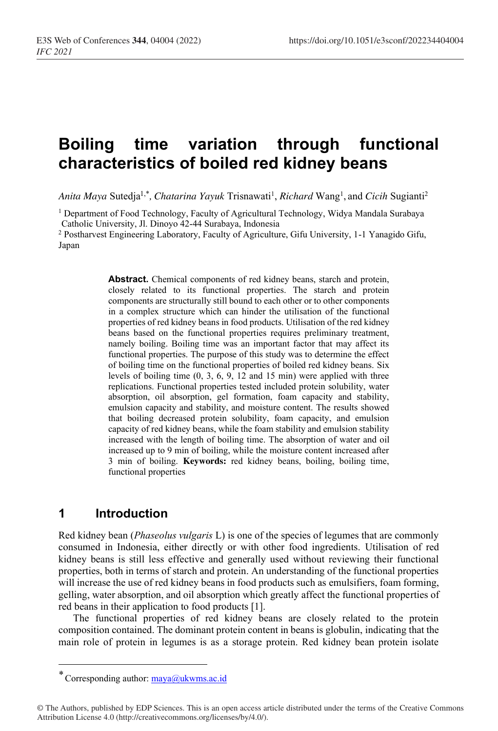# **Boiling time variation through functional characteristics of boiled red kidney beans**

Anita Maya Sutedja<sup>1,\*</sup>, Chatarina Yayuk Trisnawati<sup>1</sup>, Richard Wang<sup>1</sup>, and Cicih Sugianti<sup>2</sup>

<sup>1</sup> Department of Food Technology, Faculty of Agricultural Technology, Widya Mandala Surabaya Catholic University, Jl. Dinoyo 42-44 Surabaya, Indonesia

<sup>2</sup> Postharvest Engineering Laboratory, Faculty of Agriculture, Gifu University, 1-1 Yanagido Gifu, Japan

> **Abstract.** Chemical components of red kidney beans, starch and protein, closely related to its functional properties. The starch and protein components are structurally still bound to each other or to other components in a complex structure which can hinder the utilisation of the functional properties of red kidney beans in food products. Utilisation of the red kidney beans based on the functional properties requires preliminary treatment, namely boiling. Boiling time was an important factor that may affect its functional properties. The purpose of this study was to determine the effect of boiling time on the functional properties of boiled red kidney beans. Six levels of boiling time (0, 3, 6, 9, 12 and 15 min) were applied with three replications. Functional properties tested included protein solubility, water absorption, oil absorption, gel formation, foam capacity and stability, emulsion capacity and stability, and moisture content. The results showed that boiling decreased protein solubility, foam capacity, and emulsion capacity of red kidney beans, while the foam stability and emulsion stability increased with the length of boiling time. The absorption of water and oil increased up to 9 min of boiling, while the moisture content increased after 3 min of boiling. **Keywords:** red kidney beans, boiling, boiling time, functional properties

# **1 Introduction**

Red kidney bean (*Phaseolus vulgaris* L) is one of the species of legumes that are commonly consumed in Indonesia, either directly or with other food ingredients. Utilisation of red kidney beans is still less effective and generally used without reviewing their functional properties, both in terms of starch and protein. An understanding of the functional properties will increase the use of red kidney beans in food products such as emulsifiers, foam forming, gelling, water absorption, and oil absorption which greatly affect the functional properties of red beans in their application to food products [1].

The functional properties of red kidney beans are closely related to the protein composition contained. The dominant protein content in beans is globulin, indicating that the main role of protein in legumes is as a storage protein. Red kidney bean protein isolate

Corresponding author: maya@ukwms.ac.id \*

<sup>©</sup> The Authors, published by EDP Sciences. This is an open access article distributed under the terms of the Creative Commons Attribution License 4.0 (http://creativecommons.org/licenses/by/4.0/).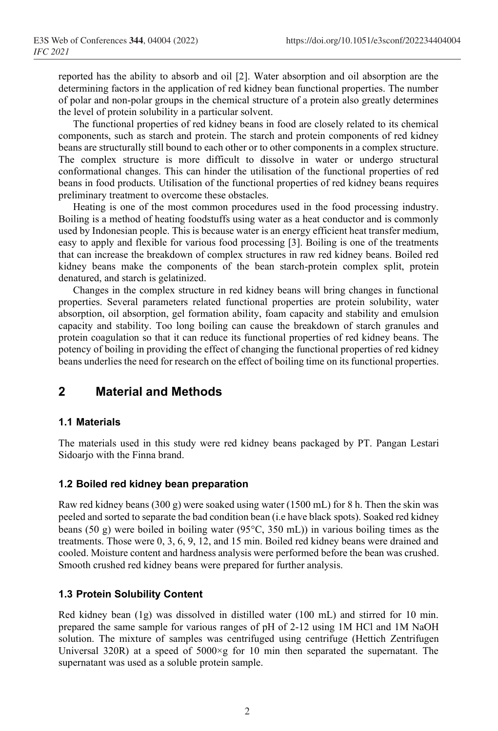reported has the ability to absorb and oil [2]. Water absorption and oil absorption are the determining factors in the application of red kidney bean functional properties. The number of polar and non-polar groups in the chemical structure of a protein also greatly determines the level of protein solubility in a particular solvent.

The functional properties of red kidney beans in food are closely related to its chemical components, such as starch and protein. The starch and protein components of red kidney beans are structurally still bound to each other or to other components in a complex structure. The complex structure is more difficult to dissolve in water or undergo structural conformational changes. This can hinder the utilisation of the functional properties of red beans in food products. Utilisation of the functional properties of red kidney beans requires preliminary treatment to overcome these obstacles.

Heating is one of the most common procedures used in the food processing industry. Boiling is a method of heating foodstuffs using water as a heat conductor and is commonly used by Indonesian people. This is because water is an energy efficient heat transfer medium, easy to apply and flexible for various food processing [3]. Boiling is one of the treatments that can increase the breakdown of complex structures in raw red kidney beans. Boiled red kidney beans make the components of the bean starch-protein complex split, protein denatured, and starch is gelatinized.

Changes in the complex structure in red kidney beans will bring changes in functional properties. Several parameters related functional properties are protein solubility, water absorption, oil absorption, gel formation ability, foam capacity and stability and emulsion capacity and stability. Too long boiling can cause the breakdown of starch granules and protein coagulation so that it can reduce its functional properties of red kidney beans. The potency of boiling in providing the effect of changing the functional properties of red kidney beans underlies the need for research on the effect of boiling time on its functional properties.

# **2 Material and Methods**

### **1.1 Materials**

The materials used in this study were red kidney beans packaged by PT. Pangan Lestari Sidoarjo with the Finna brand.

### **1.2 Boiled red kidney bean preparation**

Raw red kidney beans (300 g) were soaked using water (1500 mL) for 8 h. Then the skin was peeled and sorted to separate the bad condition bean (i.e have black spots). Soaked red kidney beans (50 g) were boiled in boiling water (95 $\degree$ C, 350 mL)) in various boiling times as the treatments. Those were 0, 3, 6, 9, 12, and 15 min. Boiled red kidney beans were drained and cooled. Moisture content and hardness analysis were performed before the bean was crushed. Smooth crushed red kidney beans were prepared for further analysis.

### **1.3 Protein Solubility Content**

Red kidney bean (1g) was dissolved in distilled water (100 mL) and stirred for 10 min. prepared the same sample for various ranges of pH of 2-12 using 1M HCl and 1M NaOH solution. The mixture of samples was centrifuged using centrifuge (Hettich Zentrifugen Universal 320R) at a speed of 5000×g for 10 min then separated the supernatant. The supernatant was used as a soluble protein sample.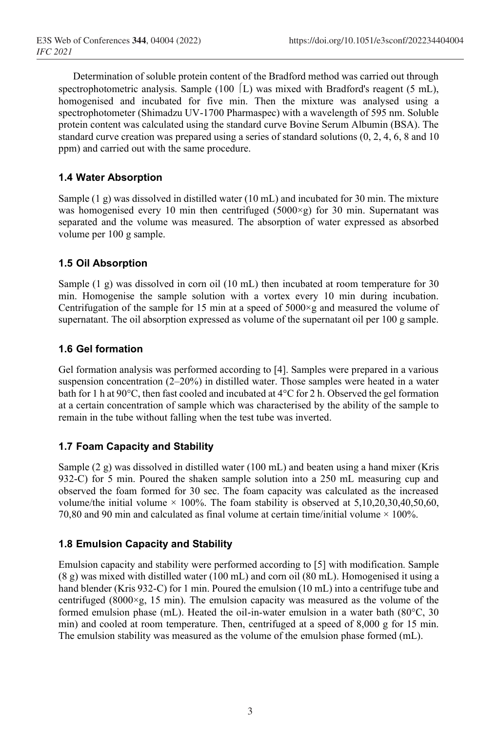Determination of soluble protein content of the Bradford method was carried out through spectrophotometric analysis. Sample (100  $\vert$  L) was mixed with Bradford's reagent (5 mL), homogenised and incubated for five min. Then the mixture was analysed using a spectrophotometer (Shimadzu UV-1700 Pharmaspec) with a wavelength of 595 nm. Soluble protein content was calculated using the standard curve Bovine Serum Albumin (BSA). The standard curve creation was prepared using a series of standard solutions (0, 2, 4, 6, 8 and 10 ppm) and carried out with the same procedure.

# **1.4 Water Absorption**

Sample (1 g) was dissolved in distilled water (10 mL) and incubated for 30 min. The mixture was homogenised every 10 min then centrifuged  $(5000 \times g)$  for 30 min. Supernatant was separated and the volume was measured. The absorption of water expressed as absorbed volume per 100 g sample.

### **1.5 Oil Absorption**

Sample (1 g) was dissolved in corn oil (10 mL) then incubated at room temperature for 30 min. Homogenise the sample solution with a vortex every 10 min during incubation. Centrifugation of the sample for 15 min at a speed of  $5000 \times g$  and measured the volume of supernatant. The oil absorption expressed as volume of the supernatant oil per 100 g sample.

# **1.6 Gel formation**

Gel formation analysis was performed according to [4]. Samples were prepared in a various suspension concentration  $(2-20%)$  in distilled water. Those samples were heated in a water bath for 1 h at 90°C, then fast cooled and incubated at 4°C for 2 h. Observed the gel formation at a certain concentration of sample which was characterised by the ability of the sample to remain in the tube without falling when the test tube was inverted.

### **1.7 Foam Capacity and Stability**

Sample  $(2 \text{ g})$  was dissolved in distilled water  $(100 \text{ mL})$  and beaten using a hand mixer (Kris 932-C) for 5 min. Poured the shaken sample solution into a 250 mL measuring cup and observed the foam formed for 30 sec. The foam capacity was calculated as the increased volume/the initial volume  $\times$  100%. The foam stability is observed at 5,10,20,30,40,50,60, 70,80 and 90 min and calculated as final volume at certain time/initial volume  $\times$  100%.

# **1.8 Emulsion Capacity and Stability**

Emulsion capacity and stability were performed according to [5] with modification. Sample (8 g) was mixed with distilled water (100 mL) and corn oil (80 mL). Homogenised it using a hand blender (Kris 932-C) for 1 min. Poured the emulsion (10 mL) into a centrifuge tube and centrifuged (8000 $\times$ g, 15 min). The emulsion capacity was measured as the volume of the formed emulsion phase (mL). Heated the oil-in-water emulsion in a water bath (80°C, 30 min) and cooled at room temperature. Then, centrifuged at a speed of 8,000 g for 15 min. The emulsion stability was measured as the volume of the emulsion phase formed (mL).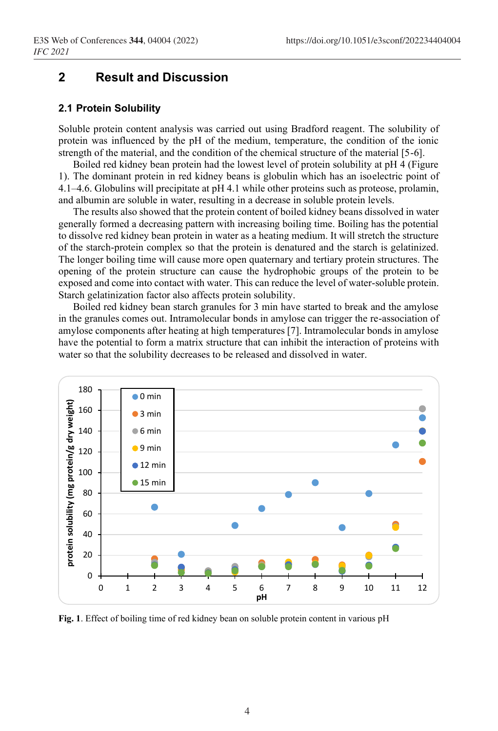# **2 Result and Discussion**

### **2.1 Protein Solubility**

Soluble protein content analysis was carried out using Bradford reagent. The solubility of protein was influenced by the pH of the medium, temperature, the condition of the ionic strength of the material, and the condition of the chemical structure of the material [5-6].

Boiled red kidney bean protein had the lowest level of protein solubility at pH 4 (Figure 1). The dominant protein in red kidney beans is globulin which has an isoelectric point of 4.1–4.6. Globulins will precipitate at pH 4.1 while other proteins such as proteose, prolamin, and albumin are soluble in water, resulting in a decrease in soluble protein levels.

The results also showed that the protein content of boiled kidney beans dissolved in water generally formed a decreasing pattern with increasing boiling time. Boiling has the potential to dissolve red kidney bean protein in water as a heating medium. It will stretch the structure of the starch-protein complex so that the protein is denatured and the starch is gelatinized. The longer boiling time will cause more open quaternary and tertiary protein structures. The opening of the protein structure can cause the hydrophobic groups of the protein to be exposed and come into contact with water. This can reduce the level of water-soluble protein. Starch gelatinization factor also affects protein solubility.

Boiled red kidney bean starch granules for 3 min have started to break and the amylose in the granules comes out. Intramolecular bonds in amylose can trigger the re-association of amylose components after heating at high temperatures [7]. Intramolecular bonds in amylose have the potential to form a matrix structure that can inhibit the interaction of proteins with water so that the solubility decreases to be released and dissolved in water.



**Fig. 1**. Effect of boiling time of red kidney bean on soluble protein content in various pH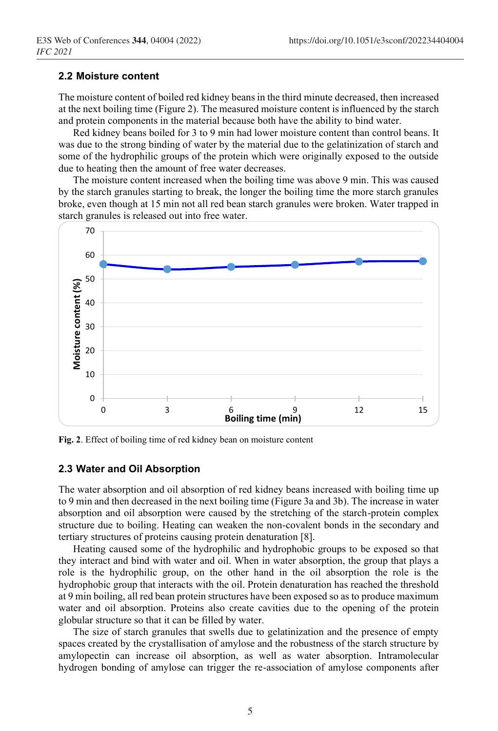#### **2.2 Moisture content**

The moisture content of boiled red kidney beans in the third minute decreased, then increased at the next boiling time (Figure 2). The measured moisture content is influenced by the starch and protein components in the material because both have the ability to bind water.

Red kidney beans boiled for 3 to 9 min had lower moisture content than control beans. It was due to the strong binding of water by the material due to the gelatinization of starch and some of the hydrophilic groups of the protein which were originally exposed to the outside due to heating then the amount of free water decreases.

The moisture content increased when the boiling time was above 9 min. This was caused by the starch granules starting to break, the longer the boiling time the more starch granules broke, even though at 15 min not all red bean starch granules were broken. Water trapped in starch granules is released out into free water.



**Fig. 2**. Effect of boiling time of red kidney bean on moisture content

#### **2.3 Water and Oil Absorption**

The water absorption and oil absorption of red kidney beans increased with boiling time up to 9 min and then decreased in the next boiling time (Figure 3a and 3b). The increase in water absorption and oil absorption were caused by the stretching of the starch-protein complex structure due to boiling. Heating can weaken the non-covalent bonds in the secondary and tertiary structures of proteins causing protein denaturation [8].

Heating caused some of the hydrophilic and hydrophobic groups to be exposed so that they interact and bind with water and oil. When in water absorption, the group that plays a role is the hydrophilic group, on the other hand in the oil absorption the role is the hydrophobic group that interacts with the oil. Protein denaturation has reached the threshold at 9 min boiling, all red bean protein structures have been exposed so as to produce maximum water and oil absorption. Proteins also create cavities due to the opening of the protein globular structure so that it can be filled by water.

The size of starch granules that swells due to gelatinization and the presence of empty spaces created by the crystallisation of amylose and the robustness of the starch structure by amylopectin can increase oil absorption, as well as water absorption. Intramolecular hydrogen bonding of amylose can trigger the re-association of amylose components after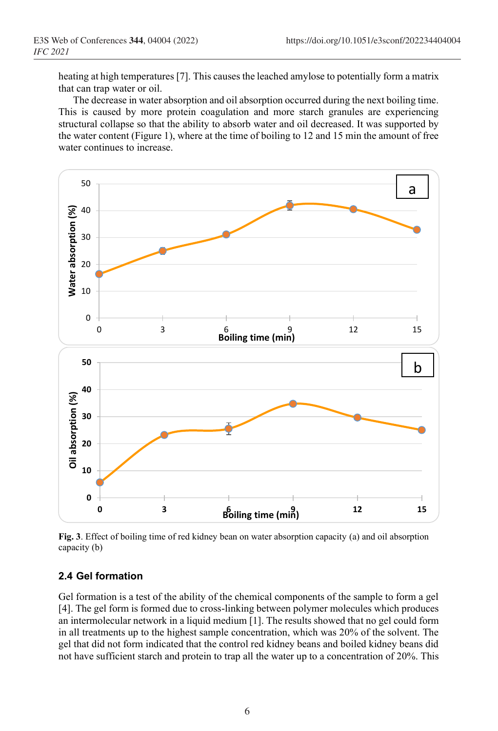heating at high temperatures [7]. This causes the leached amylose to potentially form a matrix that can trap water or oil.

The decrease in water absorption and oil absorption occurred during the next boiling time. This is caused by more protein coagulation and more starch granules are experiencing structural collapse so that the ability to absorb water and oil decreased. It was supported by the water content (Figure 1), where at the time of boiling to 12 and 15 min the amount of free water continues to increase.



**Fig. 3**. Effect of boiling time of red kidney bean on water absorption capacity (a) and oil absorption capacity (b)

### **2.4 Gel formation**

Gel formation is a test of the ability of the chemical components of the sample to form a gel [4]. The gel form is formed due to cross-linking between polymer molecules which produces an intermolecular network in a liquid medium [1]. The results showed that no gel could form in all treatments up to the highest sample concentration, which was 20% of the solvent. The gel that did not form indicated that the control red kidney beans and boiled kidney beans did not have sufficient starch and protein to trap all the water up to a concentration of 20%. This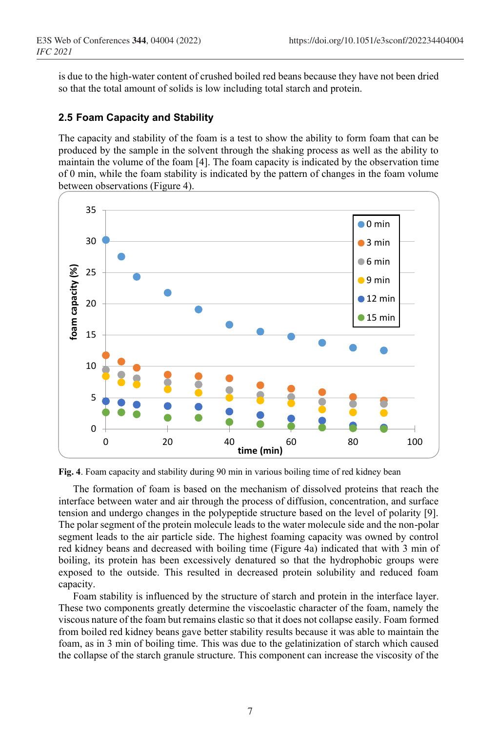is due to the high-water content of crushed boiled red beans because they have not been dried so that the total amount of solids is low including total starch and protein.

### **2.5 Foam Capacity and Stability**

The capacity and stability of the foam is a test to show the ability to form foam that can be produced by the sample in the solvent through the shaking process as well as the ability to maintain the volume of the foam [4]. The foam capacity is indicated by the observation time of 0 min, while the foam stability is indicated by the pattern of changes in the foam volume between observations (Figure 4).



**Fig. 4**. Foam capacity and stability during 90 min in various boiling time of red kidney bean

The formation of foam is based on the mechanism of dissolved proteins that reach the interface between water and air through the process of diffusion, concentration, and surface tension and undergo changes in the polypeptide structure based on the level of polarity [9]. The polar segment of the protein molecule leads to the water molecule side and the non-polar segment leads to the air particle side. The highest foaming capacity was owned by control red kidney beans and decreased with boiling time (Figure 4a) indicated that with 3 min of boiling, its protein has been excessively denatured so that the hydrophobic groups were exposed to the outside. This resulted in decreased protein solubility and reduced foam capacity.

Foam stability is influenced by the structure of starch and protein in the interface layer. These two components greatly determine the viscoelastic character of the foam, namely the viscous nature of the foam but remains elastic so that it does not collapse easily. Foam formed from boiled red kidney beans gave better stability results because it was able to maintain the foam, as in 3 min of boiling time. This was due to the gelatinization of starch which caused the collapse of the starch granule structure. This component can increase the viscosity of the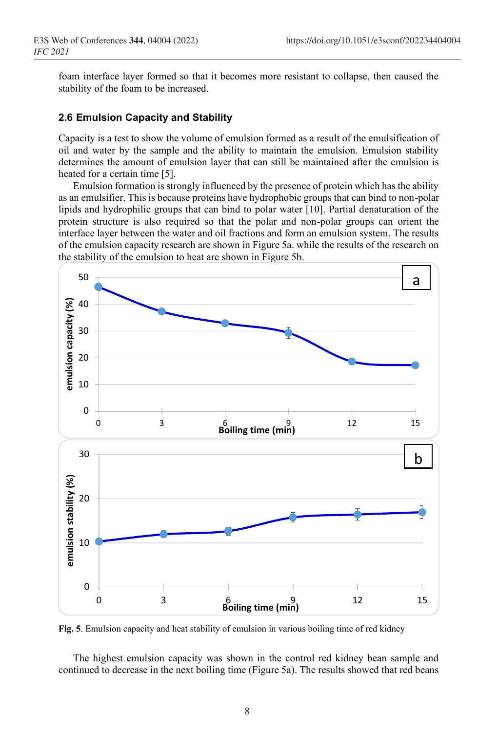foam interface layer formed so that it becomes more resistant to collapse, then caused the stability of the foam to be increased.

### **2.6 Emulsion Capacity and Stability**

Capacity is a test to show the volume of emulsion formed as a result of the emulsification of oil and water by the sample and the ability to maintain the emulsion. Emulsion stability determines the amount of emulsion layer that can still be maintained after the emulsion is heated for a certain time [5].

Emulsion formation is strongly influenced by the presence of protein which has the ability as an emulsifier. This is because proteins have hydrophobic groups that can bind to non-polar lipids and hydrophilic groups that can bind to polar water [10]. Partial denaturation of the protein structure is also required so that the polar and non-polar groups can orient the interface layer between the water and oil fractions and form an emulsion system. The results of the emulsion capacity research are shown in Figure 5a. while the results of the research on the stability of the emulsion to heat are shown in Figure 5b.



**Fig. 5**. Emulsion capacity and heat stability of emulsion in various boiling time of red kidney

The highest emulsion capacity was shown in the control red kidney bean sample and continued to decrease in the next boiling time (Figure 5a). The results showed that red beans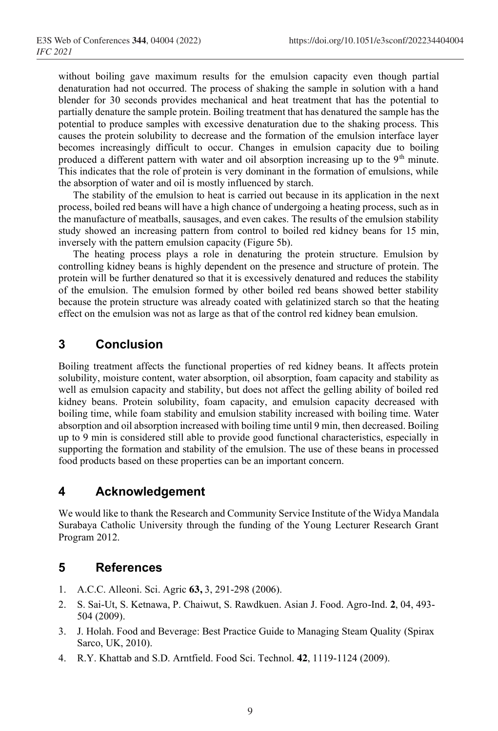without boiling gave maximum results for the emulsion capacity even though partial denaturation had not occurred. The process of shaking the sample in solution with a hand blender for 30 seconds provides mechanical and heat treatment that has the potential to partially denature the sample protein. Boiling treatment that has denatured the sample has the potential to produce samples with excessive denaturation due to the shaking process. This causes the protein solubility to decrease and the formation of the emulsion interface layer becomes increasingly difficult to occur. Changes in emulsion capacity due to boiling produced a different pattern with water and oil absorption increasing up to the  $9<sup>th</sup>$  minute. This indicates that the role of protein is very dominant in the formation of emulsions, while the absorption of water and oil is mostly influenced by starch.

The stability of the emulsion to heat is carried out because in its application in the next process, boiled red beans will have a high chance of undergoing a heating process, such as in the manufacture of meatballs, sausages, and even cakes. The results of the emulsion stability study showed an increasing pattern from control to boiled red kidney beans for 15 min, inversely with the pattern emulsion capacity (Figure 5b).

The heating process plays a role in denaturing the protein structure. Emulsion by controlling kidney beans is highly dependent on the presence and structure of protein. The protein will be further denatured so that it is excessively denatured and reduces the stability of the emulsion. The emulsion formed by other boiled red beans showed better stability because the protein structure was already coated with gelatinized starch so that the heating effect on the emulsion was not as large as that of the control red kidney bean emulsion.

# **3 Conclusion**

Boiling treatment affects the functional properties of red kidney beans. It affects protein solubility, moisture content, water absorption, oil absorption, foam capacity and stability as well as emulsion capacity and stability, but does not affect the gelling ability of boiled red kidney beans. Protein solubility, foam capacity, and emulsion capacity decreased with boiling time, while foam stability and emulsion stability increased with boiling time. Water absorption and oil absorption increased with boiling time until 9 min, then decreased. Boiling up to 9 min is considered still able to provide good functional characteristics, especially in supporting the formation and stability of the emulsion. The use of these beans in processed food products based on these properties can be an important concern.

# **4 Acknowledgement**

We would like to thank the Research and Community Service Institute of the Widya Mandala Surabaya Catholic University through the funding of the Young Lecturer Research Grant Program 2012.

# **5 References**

- 1. A.C.C. Alleoni. Sci. Agric **63,** 3, 291-298 (2006).
- 2. S. Sai-Ut, S. Ketnawa, P. Chaiwut, S. Rawdkuen. Asian J. Food. Agro-Ind. **2**, 04, 493- 504 (2009).
- 3. J. Holah. Food and Beverage: Best Practice Guide to Managing Steam Quality (Spirax Sarco, UK, 2010).
- 4. R.Y. Khattab and S.D. Arntfield. Food Sci. Technol. **42**, 1119-1124 (2009).